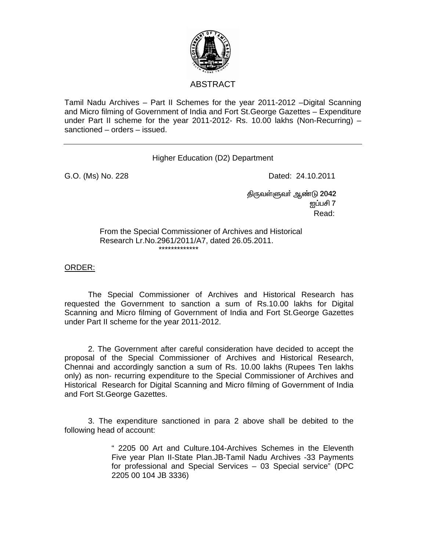

## ABSTRACT

Tamil Nadu Archives – Part II Schemes for the year 2011-2012 –Digital Scanning and Micro filming of Government of India and Fort St.George Gazettes – Expenditure under Part II scheme for the year 2011-2012- Rs. 10.00 lakhs (Non-Recurring) – sanctioned – orders – issued.

## Higher Education (D2) Department

G.O. (Ms) No. 228 Dated: 24.10.2011

திருவள்ளுவா் ஆண்டு 2042  $\rm g$ ப்பசி 7  $\rm g$ **Read:** The contract of the contract of the contract of the contract of the contract of the contract of the contract of the contract of the contract of the contract of the contract of the contract of the contract of the co

> From the Special Commissioner of Archives and Historical Research Lr.No.2961/2011/A7, dated 26.05.2011. \*\*\*\*\*\*\*\*\*\*\*\*\*

ORDER:

 The Special Commissioner of Archives and Historical Research has requested the Government to sanction a sum of Rs.10.00 lakhs for Digital Scanning and Micro filming of Government of India and Fort St.George Gazettes under Part II scheme for the year 2011-2012.

 2. The Government after careful consideration have decided to accept the proposal of the Special Commissioner of Archives and Historical Research, Chennai and accordingly sanction a sum of Rs. 10.00 lakhs (Rupees Ten lakhs only) as non- recurring expenditure to the Special Commissioner of Archives and Historical Research for Digital Scanning and Micro filming of Government of India and Fort St.George Gazettes.

 3. The expenditure sanctioned in para 2 above shall be debited to the following head of account:

> " 2205 00 Art and Culture.104-Archives Schemes in the Eleventh Five year Plan II-State Plan.JB-Tamil Nadu Archives -33 Payments for professional and Special Services – 03 Special service" (DPC 2205 00 104 JB 3336)